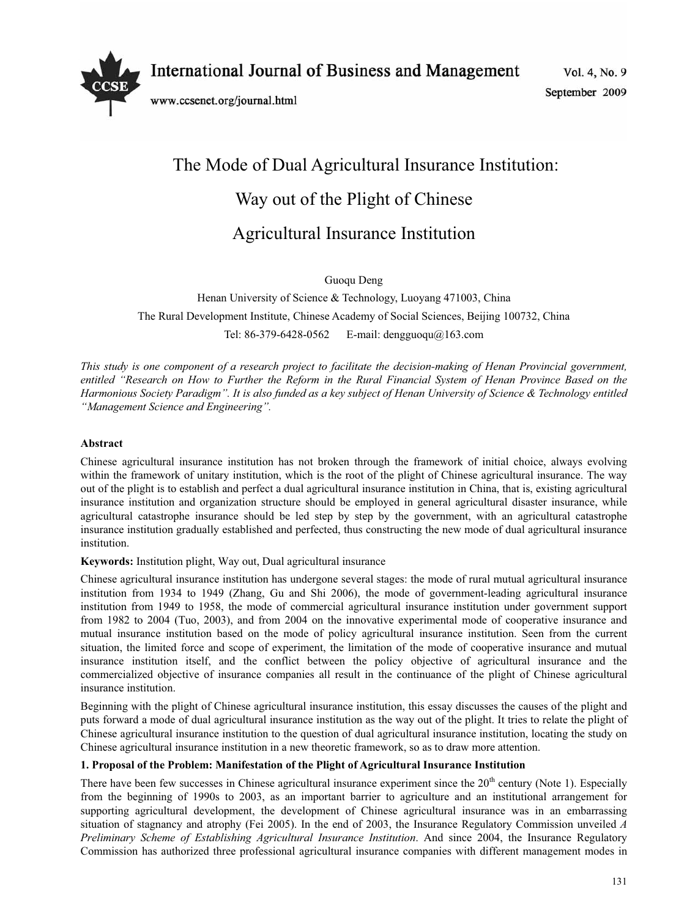

International Journal of Business and Management

www.ccsenet.org/journal.html

# The Mode of Dual Agricultural Insurance Institution: Way out of the Plight of Chinese Agricultural Insurance Institution

Guoqu Deng

Henan University of Science & Technology, Luoyang 471003, China The Rural Development Institute, Chinese Academy of Social Sciences, Beijing 100732, China Tel:  $86-379-6428-0562$  E-mail: dengguoqu $@163$ .com

*This study is one component of a research project to facilitate the decision-making of Henan Provincial government, entitled "Research on How to Further the Reform in the Rural Financial System of Henan Province Based on the Harmonious Society Paradigm". It is also funded as a key subject of Henan University of Science & Technology entitled "Management Science and Engineering".* 

# **Abstract**

Chinese agricultural insurance institution has not broken through the framework of initial choice, always evolving within the framework of unitary institution, which is the root of the plight of Chinese agricultural insurance. The way out of the plight is to establish and perfect a dual agricultural insurance institution in China, that is, existing agricultural insurance institution and organization structure should be employed in general agricultural disaster insurance, while agricultural catastrophe insurance should be led step by step by the government, with an agricultural catastrophe insurance institution gradually established and perfected, thus constructing the new mode of dual agricultural insurance institution.

**Keywords:** Institution plight, Way out, Dual agricultural insurance

Chinese agricultural insurance institution has undergone several stages: the mode of rural mutual agricultural insurance institution from 1934 to 1949 (Zhang, Gu and Shi 2006), the mode of government-leading agricultural insurance institution from 1949 to 1958, the mode of commercial agricultural insurance institution under government support from 1982 to 2004 (Tuo, 2003), and from 2004 on the innovative experimental mode of cooperative insurance and mutual insurance institution based on the mode of policy agricultural insurance institution. Seen from the current situation, the limited force and scope of experiment, the limitation of the mode of cooperative insurance and mutual insurance institution itself, and the conflict between the policy objective of agricultural insurance and the commercialized objective of insurance companies all result in the continuance of the plight of Chinese agricultural insurance institution.

Beginning with the plight of Chinese agricultural insurance institution, this essay discusses the causes of the plight and puts forward a mode of dual agricultural insurance institution as the way out of the plight. It tries to relate the plight of Chinese agricultural insurance institution to the question of dual agricultural insurance institution, locating the study on Chinese agricultural insurance institution in a new theoretic framework, so as to draw more attention.

# **1. Proposal of the Problem: Manifestation of the Plight of Agricultural Insurance Institution**

There have been few successes in Chinese agricultural insurance experiment since the  $20<sup>th</sup>$  century (Note 1). Especially from the beginning of 1990s to 2003, as an important barrier to agriculture and an institutional arrangement for supporting agricultural development, the development of Chinese agricultural insurance was in an embarrassing situation of stagnancy and atrophy (Fei 2005). In the end of 2003, the Insurance Regulatory Commission unveiled *A Preliminary Scheme of Establishing Agricultural Insurance Institution*. And since 2004, the Insurance Regulatory Commission has authorized three professional agricultural insurance companies with different management modes in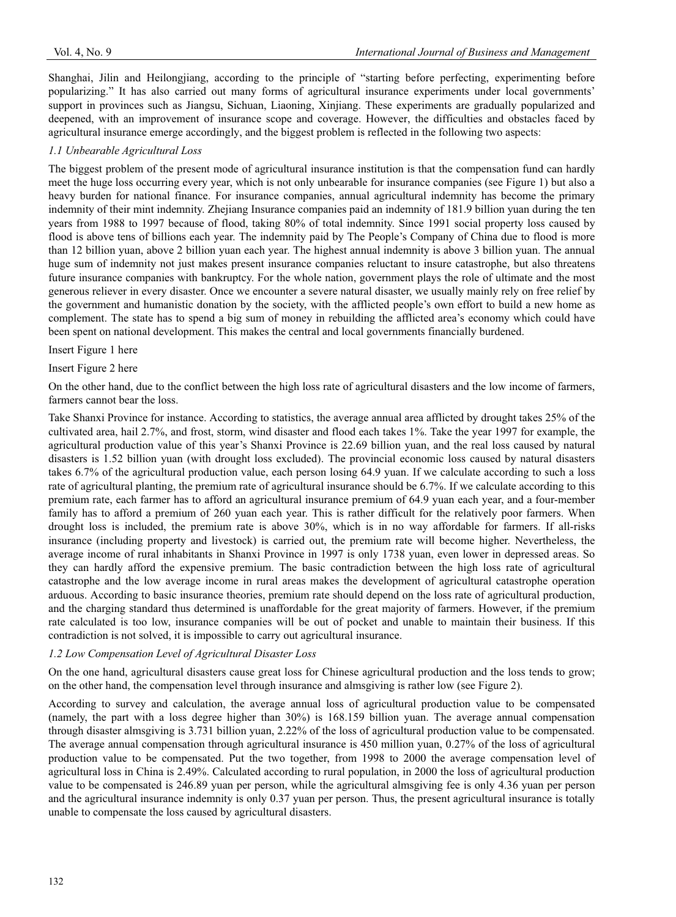Shanghai, Jilin and Heilongjiang, according to the principle of "starting before perfecting, experimenting before popularizing." It has also carried out many forms of agricultural insurance experiments under local governments' support in provinces such as Jiangsu, Sichuan, Liaoning, Xinjiang. These experiments are gradually popularized and deepened, with an improvement of insurance scope and coverage. However, the difficulties and obstacles faced by agricultural insurance emerge accordingly, and the biggest problem is reflected in the following two aspects:

## *1.1 Unbearable Agricultural Loss*

The biggest problem of the present mode of agricultural insurance institution is that the compensation fund can hardly meet the huge loss occurring every year, which is not only unbearable for insurance companies (see Figure 1) but also a heavy burden for national finance. For insurance companies, annual agricultural indemnity has become the primary indemnity of their mint indemnity. Zhejiang Insurance companies paid an indemnity of 181.9 billion yuan during the ten years from 1988 to 1997 because of flood, taking 80% of total indemnity. Since 1991 social property loss caused by flood is above tens of billions each year. The indemnity paid by The People's Company of China due to flood is more than 12 billion yuan, above 2 billion yuan each year. The highest annual indemnity is above 3 billion yuan. The annual huge sum of indemnity not just makes present insurance companies reluctant to insure catastrophe, but also threatens future insurance companies with bankruptcy. For the whole nation, government plays the role of ultimate and the most generous reliever in every disaster. Once we encounter a severe natural disaster, we usually mainly rely on free relief by the government and humanistic donation by the society, with the afflicted people's own effort to build a new home as complement. The state has to spend a big sum of money in rebuilding the afflicted area's economy which could have been spent on national development. This makes the central and local governments financially burdened.

## Insert Figure 1 here

## Insert Figure 2 here

On the other hand, due to the conflict between the high loss rate of agricultural disasters and the low income of farmers, farmers cannot bear the loss.

Take Shanxi Province for instance. According to statistics, the average annual area afflicted by drought takes 25% of the cultivated area, hail 2.7%, and frost, storm, wind disaster and flood each takes 1%. Take the year 1997 for example, the agricultural production value of this year's Shanxi Province is 22.69 billion yuan, and the real loss caused by natural disasters is 1.52 billion yuan (with drought loss excluded). The provincial economic loss caused by natural disasters takes 6.7% of the agricultural production value, each person losing 64.9 yuan. If we calculate according to such a loss rate of agricultural planting, the premium rate of agricultural insurance should be 6.7%. If we calculate according to this premium rate, each farmer has to afford an agricultural insurance premium of 64.9 yuan each year, and a four-member family has to afford a premium of 260 yuan each year. This is rather difficult for the relatively poor farmers. When drought loss is included, the premium rate is above 30%, which is in no way affordable for farmers. If all-risks insurance (including property and livestock) is carried out, the premium rate will become higher. Nevertheless, the average income of rural inhabitants in Shanxi Province in 1997 is only 1738 yuan, even lower in depressed areas. So they can hardly afford the expensive premium. The basic contradiction between the high loss rate of agricultural catastrophe and the low average income in rural areas makes the development of agricultural catastrophe operation arduous. According to basic insurance theories, premium rate should depend on the loss rate of agricultural production, and the charging standard thus determined is unaffordable for the great majority of farmers. However, if the premium rate calculated is too low, insurance companies will be out of pocket and unable to maintain their business. If this contradiction is not solved, it is impossible to carry out agricultural insurance.

## *1.2 Low Compensation Level of Agricultural Disaster Loss*

On the one hand, agricultural disasters cause great loss for Chinese agricultural production and the loss tends to grow; on the other hand, the compensation level through insurance and almsgiving is rather low (see Figure 2).

According to survey and calculation, the average annual loss of agricultural production value to be compensated (namely, the part with a loss degree higher than 30%) is 168.159 billion yuan. The average annual compensation through disaster almsgiving is 3.731 billion yuan, 2.22% of the loss of agricultural production value to be compensated. The average annual compensation through agricultural insurance is 450 million yuan, 0.27% of the loss of agricultural production value to be compensated. Put the two together, from 1998 to 2000 the average compensation level of agricultural loss in China is 2.49%. Calculated according to rural population, in 2000 the loss of agricultural production value to be compensated is 246.89 yuan per person, while the agricultural almsgiving fee is only 4.36 yuan per person and the agricultural insurance indemnity is only 0.37 yuan per person. Thus, the present agricultural insurance is totally unable to compensate the loss caused by agricultural disasters.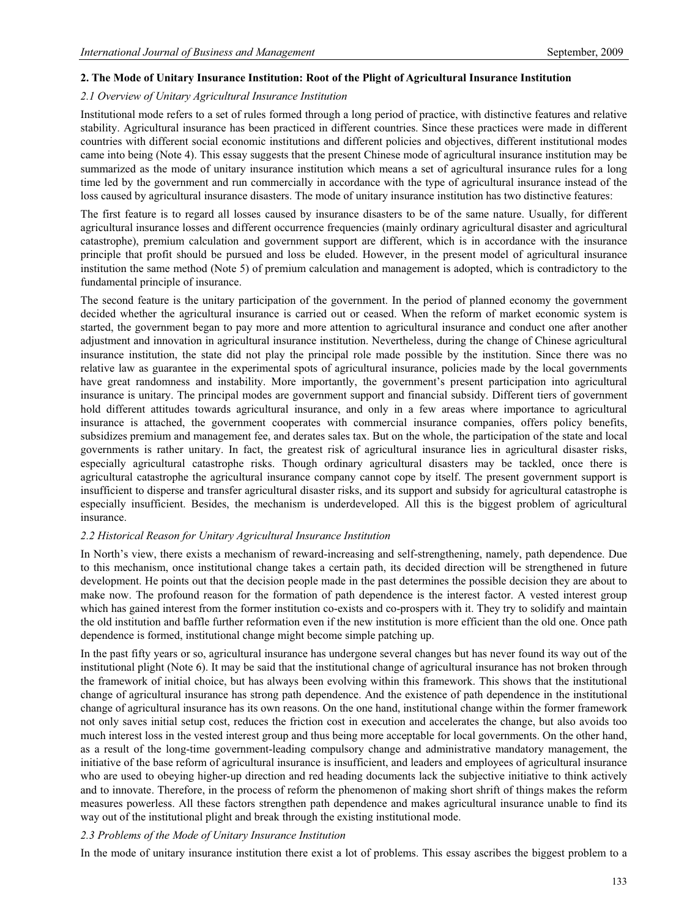## **2. The Mode of Unitary Insurance Institution: Root of the Plight of Agricultural Insurance Institution**

#### *2.1 Overview of Unitary Agricultural Insurance Institution*

Institutional mode refers to a set of rules formed through a long period of practice, with distinctive features and relative stability. Agricultural insurance has been practiced in different countries. Since these practices were made in different countries with different social economic institutions and different policies and objectives, different institutional modes came into being (Note 4). This essay suggests that the present Chinese mode of agricultural insurance institution may be summarized as the mode of unitary insurance institution which means a set of agricultural insurance rules for a long time led by the government and run commercially in accordance with the type of agricultural insurance instead of the loss caused by agricultural insurance disasters. The mode of unitary insurance institution has two distinctive features:

The first feature is to regard all losses caused by insurance disasters to be of the same nature. Usually, for different agricultural insurance losses and different occurrence frequencies (mainly ordinary agricultural disaster and agricultural catastrophe), premium calculation and government support are different, which is in accordance with the insurance principle that profit should be pursued and loss be eluded. However, in the present model of agricultural insurance institution the same method (Note 5) of premium calculation and management is adopted, which is contradictory to the fundamental principle of insurance.

The second feature is the unitary participation of the government. In the period of planned economy the government decided whether the agricultural insurance is carried out or ceased. When the reform of market economic system is started, the government began to pay more and more attention to agricultural insurance and conduct one after another adjustment and innovation in agricultural insurance institution. Nevertheless, during the change of Chinese agricultural insurance institution, the state did not play the principal role made possible by the institution. Since there was no relative law as guarantee in the experimental spots of agricultural insurance, policies made by the local governments have great randomness and instability. More importantly, the government's present participation into agricultural insurance is unitary. The principal modes are government support and financial subsidy. Different tiers of government hold different attitudes towards agricultural insurance, and only in a few areas where importance to agricultural insurance is attached, the government cooperates with commercial insurance companies, offers policy benefits, subsidizes premium and management fee, and derates sales tax. But on the whole, the participation of the state and local governments is rather unitary. In fact, the greatest risk of agricultural insurance lies in agricultural disaster risks, especially agricultural catastrophe risks. Though ordinary agricultural disasters may be tackled, once there is agricultural catastrophe the agricultural insurance company cannot cope by itself. The present government support is insufficient to disperse and transfer agricultural disaster risks, and its support and subsidy for agricultural catastrophe is especially insufficient. Besides, the mechanism is underdeveloped. All this is the biggest problem of agricultural insurance.

#### *2.2 Historical Reason for Unitary Agricultural Insurance Institution*

In North's view, there exists a mechanism of reward-increasing and self-strengthening, namely, path dependence. Due to this mechanism, once institutional change takes a certain path, its decided direction will be strengthened in future development. He points out that the decision people made in the past determines the possible decision they are about to make now. The profound reason for the formation of path dependence is the interest factor. A vested interest group which has gained interest from the former institution co-exists and co-prospers with it. They try to solidify and maintain the old institution and baffle further reformation even if the new institution is more efficient than the old one. Once path dependence is formed, institutional change might become simple patching up.

In the past fifty years or so, agricultural insurance has undergone several changes but has never found its way out of the institutional plight (Note 6). It may be said that the institutional change of agricultural insurance has not broken through the framework of initial choice, but has always been evolving within this framework. This shows that the institutional change of agricultural insurance has strong path dependence. And the existence of path dependence in the institutional change of agricultural insurance has its own reasons. On the one hand, institutional change within the former framework not only saves initial setup cost, reduces the friction cost in execution and accelerates the change, but also avoids too much interest loss in the vested interest group and thus being more acceptable for local governments. On the other hand, as a result of the long-time government-leading compulsory change and administrative mandatory management, the initiative of the base reform of agricultural insurance is insufficient, and leaders and employees of agricultural insurance who are used to obeying higher-up direction and red heading documents lack the subjective initiative to think actively and to innovate. Therefore, in the process of reform the phenomenon of making short shrift of things makes the reform measures powerless. All these factors strengthen path dependence and makes agricultural insurance unable to find its way out of the institutional plight and break through the existing institutional mode.

## *2.3 Problems of the Mode of Unitary Insurance Institution*

In the mode of unitary insurance institution there exist a lot of problems. This essay ascribes the biggest problem to a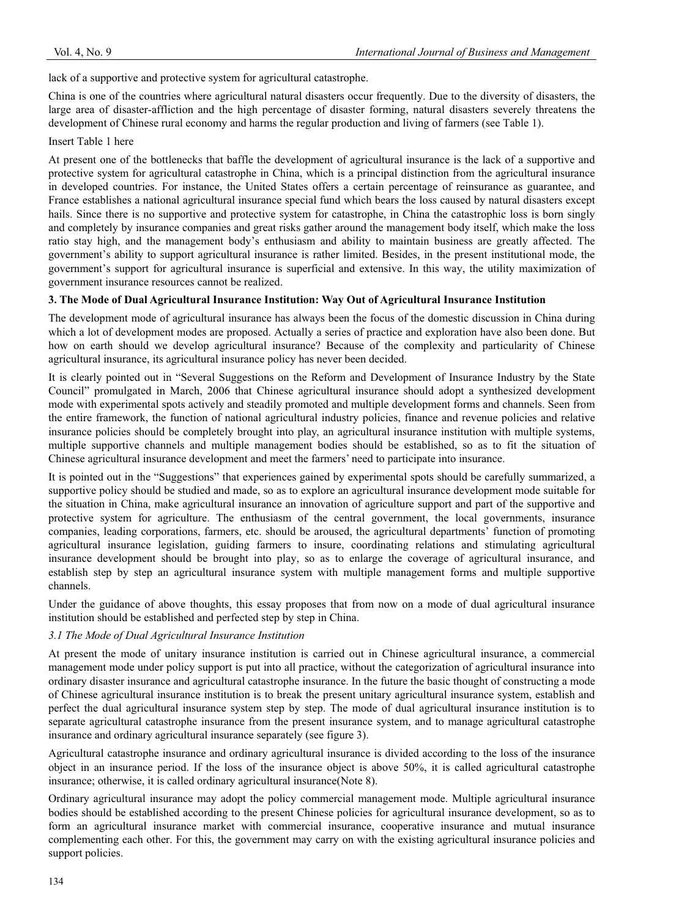lack of a supportive and protective system for agricultural catastrophe.

China is one of the countries where agricultural natural disasters occur frequently. Due to the diversity of disasters, the large area of disaster-affliction and the high percentage of disaster forming, natural disasters severely threatens the development of Chinese rural economy and harms the regular production and living of farmers (see Table 1).

# Insert Table 1 here

At present one of the bottlenecks that baffle the development of agricultural insurance is the lack of a supportive and protective system for agricultural catastrophe in China, which is a principal distinction from the agricultural insurance in developed countries. For instance, the United States offers a certain percentage of reinsurance as guarantee, and France establishes a national agricultural insurance special fund which bears the loss caused by natural disasters except hails. Since there is no supportive and protective system for catastrophe, in China the catastrophic loss is born singly and completely by insurance companies and great risks gather around the management body itself, which make the loss ratio stay high, and the management body's enthusiasm and ability to maintain business are greatly affected. The governmen<sup>t</sup>'s ability to support agricultural insurance is rather limited. Besides, in the present institutional mode, the governmen<sup>t</sup>'s support for agricultural insurance is superficial and extensive. In this way, the utility maximization of government insurance resources cannot be realized.

# **3. The Mode of Dual Agricultural Insurance Institution: Way Out of Agricultural Insurance Institution**

The development mode of agricultural insurance has always been the focus of the domestic discussion in China during which a lot of development modes are proposed. Actually a series of practice and exploration have also been done. But how on earth should we develop agricultural insurance? Because of the complexity and particularity of Chinese agricultural insurance, its agricultural insurance policy has never been decided.

It is clearly pointed out in "Several Suggestions on the Reform and Development of Insurance Industry by the State Council" promulgated in March, 2006 that Chinese agricultural insurance should adopt a synthesized development mode with experimental spots actively and steadily promoted and multiple development forms and channels. Seen from the entire framework, the function of national agricultural industry policies, finance and revenue policies and relative insurance policies should be completely brought into play, an agricultural insurance institution with multiple systems, multiple supportive channels and multiple management bodies should be established, so as to fit the situation of Chinese agricultural insurance development and meet the farmers' need to participate into insurance.

It is pointed out in the "Suggestions" that experiences gained by experimental spots should be carefully summarized, a supportive policy should be studied and made, so as to explore an agricultural insurance development mode suitable for the situation in China, make agricultural insurance an innovation of agriculture support and part of the supportive and protective system for agriculture. The enthusiasm of the central government, the local governments, insurance companies, leading corporations, farmers, etc. should be aroused, the agricultural departments' function of promoting agricultural insurance legislation, guiding farmers to insure, coordinating relations and stimulating agricultural insurance development should be brought into play, so as to enlarge the coverage of agricultural insurance, and establish step by step an agricultural insurance system with multiple management forms and multiple supportive channels.

Under the guidance of above thoughts, this essay proposes that from now on a mode of dual agricultural insurance institution should be established and perfected step by step in China.

# *3.1 The Mode of Dual Agricultural Insurance Institution*

At present the mode of unitary insurance institution is carried out in Chinese agricultural insurance, a commercial management mode under policy support is put into all practice, without the categorization of agricultural insurance into ordinary disaster insurance and agricultural catastrophe insurance. In the future the basic thought of constructing a mode of Chinese agricultural insurance institution is to break the present unitary agricultural insurance system, establish and perfect the dual agricultural insurance system step by step. The mode of dual agricultural insurance institution is to separate agricultural catastrophe insurance from the present insurance system, and to manage agricultural catastrophe insurance and ordinary agricultural insurance separately (see figure 3).

Agricultural catastrophe insurance and ordinary agricultural insurance is divided according to the loss of the insurance object in an insurance period. If the loss of the insurance object is above 50%, it is called agricultural catastrophe insurance; otherwise, it is called ordinary agricultural insurance(Note 8).

Ordinary agricultural insurance may adopt the policy commercial management mode. Multiple agricultural insurance bodies should be established according to the present Chinese policies for agricultural insurance development, so as to form an agricultural insurance market with commercial insurance, cooperative insurance and mutual insurance complementing each other. For this, the government may carry on with the existing agricultural insurance policies and support policies.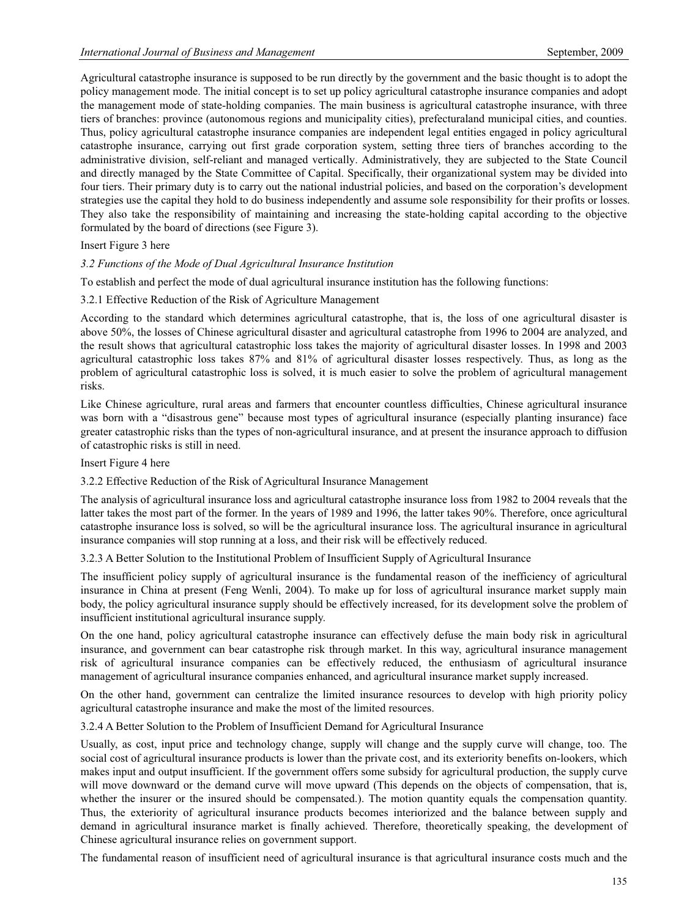Agricultural catastrophe insurance is supposed to be run directly by the government and the basic thought is to adopt the policy management mode. The initial concept is to set up policy agricultural catastrophe insurance companies and adopt the management mode of state-holding companies. The main business is agricultural catastrophe insurance, with three tiers of branches: province (autonomous regions and municipality cities), prefecturaland municipal cities, and counties. Thus, policy agricultural catastrophe insurance companies are independent legal entities engaged in policy agricultural catastrophe insurance, carrying out first grade corporation system, setting three tiers of branches according to the administrative division, self-reliant and managed vertically. Administratively, they are subjected to the State Council and directly managed by the State Committee of Capital. Specifically, their organizational system may be divided into four tiers. Their primary duty is to carry out the national industrial policies, and based on the corporation's development strategies use the capital they hold to do business independently and assume sole responsibility for their profits or losses. They also take the responsibility of maintaining and increasing the state-holding capital according to the objective formulated by the board of directions (see Figure 3).

## Insert Figure 3 here

## *3.2 Functions of the Mode of Dual Agricultural Insurance Institution*

To establish and perfect the mode of dual agricultural insurance institution has the following functions:

3.2.1 Effective Reduction of the Risk of Agriculture Management

According to the standard which determines agricultural catastrophe, that is, the loss of one agricultural disaster is above 50%, the losses of Chinese agricultural disaster and agricultural catastrophe from 1996 to 2004 are analyzed, and the result shows that agricultural catastrophic loss takes the majority of agricultural disaster losses. In 1998 and 2003 agricultural catastrophic loss takes 87% and 81% of agricultural disaster losses respectively. Thus, as long as the problem of agricultural catastrophic loss is solved, it is much easier to solve the problem of agricultural management risks.

Like Chinese agriculture, rural areas and farmers that encounter countless difficulties, Chinese agricultural insurance was born with a "disastrous gene" because most types of agricultural insurance (especially planting insurance) face greater catastrophic risks than the types of non-agricultural insurance, and at present the insurance approach to diffusion of catastrophic risks is still in need.

Insert Figure 4 here

3.2.2 Effective Reduction of the Risk of Agricultural Insurance Management

The analysis of agricultural insurance loss and agricultural catastrophe insurance loss from 1982 to 2004 reveals that the latter takes the most part of the former. In the years of 1989 and 1996, the latter takes 90%. Therefore, once agricultural catastrophe insurance loss is solved, so will be the agricultural insurance loss. The agricultural insurance in agricultural insurance companies will stop running at a loss, and their risk will be effectively reduced.

3.2.3 A Better Solution to the Institutional Problem of Insufficient Supply of Agricultural Insurance

The insufficient policy supply of agricultural insurance is the fundamental reason of the inefficiency of agricultural insurance in China at present (Feng Wenli, 2004). To make up for loss of agricultural insurance market supply main body, the policy agricultural insurance supply should be effectively increased, for its development solve the problem of insufficient institutional agricultural insurance supply.

On the one hand, policy agricultural catastrophe insurance can effectively defuse the main body risk in agricultural insurance, and government can bear catastrophe risk through market. In this way, agricultural insurance management risk of agricultural insurance companies can be effectively reduced, the enthusiasm of agricultural insurance management of agricultural insurance companies enhanced, and agricultural insurance market supply increased.

On the other hand, government can centralize the limited insurance resources to develop with high priority policy agricultural catastrophe insurance and make the most of the limited resources.

3.2.4 A Better Solution to the Problem of Insufficient Demand for Agricultural Insurance

Usually, as cost, input price and technology change, supply will change and the supply curve will change, too. The social cost of agricultural insurance products is lower than the private cost, and its exteriority benefits on-lookers, which makes input and output insufficient. If the government offers some subsidy for agricultural production, the supply curve will move downward or the demand curve will move upward (This depends on the objects of compensation, that is, whether the insurer or the insured should be compensated.). The motion quantity equals the compensation quantity. Thus, the exteriority of agricultural insurance products becomes interiorized and the balance between supply and demand in agricultural insurance market is finally achieved. Therefore, theoretically speaking, the development of Chinese agricultural insurance relies on government support.

The fundamental reason of insufficient need of agricultural insurance is that agricultural insurance costs much and the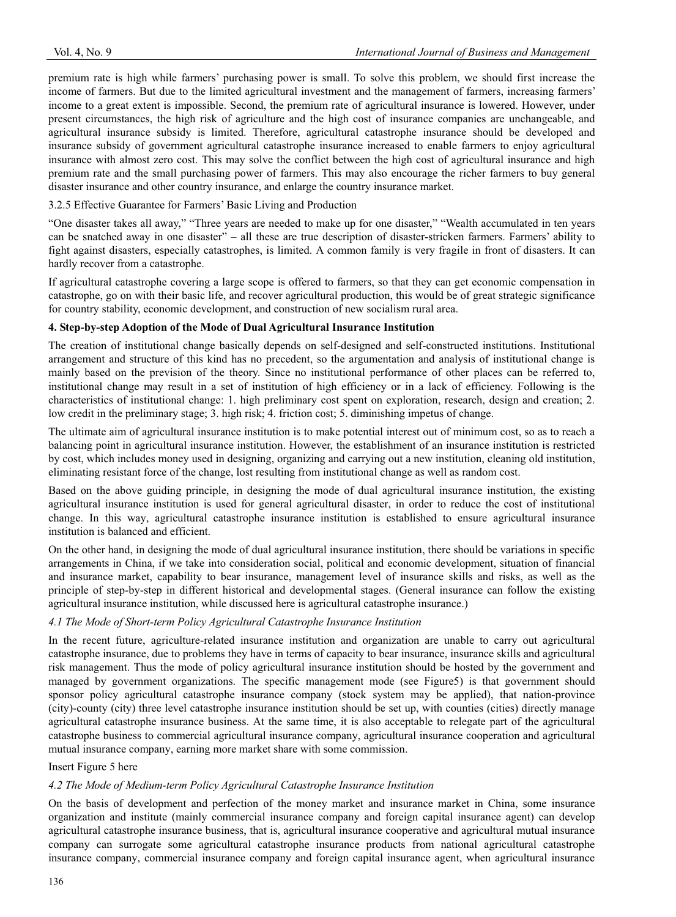premium rate is high while farmers' purchasing power is small. To solve this problem, we should first increase the income of farmers. But due to the limited agricultural investment and the management of farmers, increasing farmers' income to a great extent is impossible. Second, the premium rate of agricultural insurance is lowered. However, under present circumstances, the high risk of agriculture and the high cost of insurance companies are unchangeable, and agricultural insurance subsidy is limited. Therefore, agricultural catastrophe insurance should be developed and insurance subsidy of government agricultural catastrophe insurance increased to enable farmers to enjoy agricultural insurance with almost zero cost. This may solve the conflict between the high cost of agricultural insurance and high premium rate and the small purchasing power of farmers. This may also encourage the richer farmers to buy general disaster insurance and other country insurance, and enlarge the country insurance market.

## 3.2.5 Effective Guarantee for Farmers' Basic Living and Production

"One disaster takes all away," "Three years are needed to make up for one disaster," "Wealth accumulated in ten years can be snatched away in one disaster" – all these are true description of disaster-stricken farmers. Farmers' ability to fight against disasters, especially catastrophes, is limited. A common family is very fragile in front of disasters. It can hardly recover from a catastrophe.

If agricultural catastrophe covering a large scope is offered to farmers, so that they can get economic compensation in catastrophe, go on with their basic life, and recover agricultural production, this would be of great strategic significance for country stability, economic development, and construction of new socialism rural area.

## **4. Step-by-step Adoption of the Mode of Dual Agricultural Insurance Institution**

The creation of institutional change basically depends on self-designed and self-constructed institutions. Institutional arrangement and structure of this kind has no precedent, so the argumentation and analysis of institutional change is mainly based on the prevision of the theory. Since no institutional performance of other places can be referred to, institutional change may result in a set of institution of high efficiency or in a lack of efficiency. Following is the characteristics of institutional change: 1. high preliminary cost spent on exploration, research, design and creation; 2. low credit in the preliminary stage; 3. high risk; 4. friction cost; 5. diminishing impetus of change.

The ultimate aim of agricultural insurance institution is to make potential interest out of minimum cost, so as to reach a balancing point in agricultural insurance institution. However, the establishment of an insurance institution is restricted by cost, which includes money used in designing, organizing and carrying out a new institution, cleaning old institution, eliminating resistant force of the change, lost resulting from institutional change as well as random cost.

Based on the above guiding principle, in designing the mode of dual agricultural insurance institution, the existing agricultural insurance institution is used for general agricultural disaster, in order to reduce the cost of institutional change. In this way, agricultural catastrophe insurance institution is established to ensure agricultural insurance institution is balanced and efficient.

On the other hand, in designing the mode of dual agricultural insurance institution, there should be variations in specific arrangements in China, if we take into consideration social, political and economic development, situation of financial and insurance market, capability to bear insurance, management level of insurance skills and risks, as well as the principle of step-by-step in different historical and developmental stages. (General insurance can follow the existing agricultural insurance institution, while discussed here is agricultural catastrophe insurance.)

## *4.1 The Mode of Short-term Policy Agricultural Catastrophe Insurance Institution*

In the recent future, agriculture-related insurance institution and organization are unable to carry out agricultural catastrophe insurance, due to problems they have in terms of capacity to bear insurance, insurance skills and agricultural risk management. Thus the mode of policy agricultural insurance institution should be hosted by the government and managed by government organizations. The specific management mode (see Figure5) is that government should sponsor policy agricultural catastrophe insurance company (stock system may be applied), that nation-province (city)-county (city) three level catastrophe insurance institution should be set up, with counties (cities) directly manage agricultural catastrophe insurance business. At the same time, it is also acceptable to relegate part of the agricultural catastrophe business to commercial agricultural insurance company, agricultural insurance cooperation and agricultural mutual insurance company, earning more market share with some commission.

## Insert Figure 5 here

# *4.2 The Mode of Medium-term Policy Agricultural Catastrophe Insurance Institution*

On the basis of development and perfection of the money market and insurance market in China, some insurance organization and institute (mainly commercial insurance company and foreign capital insurance agent) can develop agricultural catastrophe insurance business, that is, agricultural insurance cooperative and agricultural mutual insurance company can surrogate some agricultural catastrophe insurance products from national agricultural catastrophe insurance company, commercial insurance company and foreign capital insurance agent, when agricultural insurance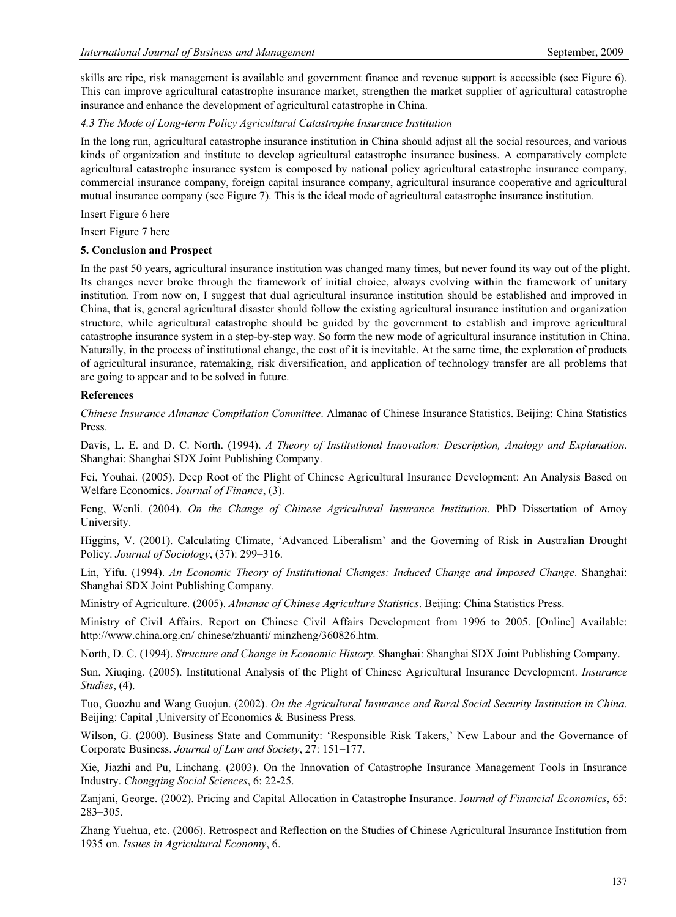skills are ripe, risk management is available and government finance and revenue support is accessible (see Figure 6). This can improve agricultural catastrophe insurance market, strengthen the market supplier of agricultural catastrophe insurance and enhance the development of agricultural catastrophe in China.

## *4.3 The Mode of Long-term Policy Agricultural Catastrophe Insurance Institution*

In the long run, agricultural catastrophe insurance institution in China should adjust all the social resources, and various kinds of organization and institute to develop agricultural catastrophe insurance business. A comparatively complete agricultural catastrophe insurance system is composed by national policy agricultural catastrophe insurance company, commercial insurance company, foreign capital insurance company, agricultural insurance cooperative and agricultural mutual insurance company (see Figure 7). This is the ideal mode of agricultural catastrophe insurance institution.

Insert Figure 6 here

Insert Figure 7 here

#### **5. Conclusion and Prospect**

In the past 50 years, agricultural insurance institution was changed many times, but never found its way out of the plight. Its changes never broke through the framework of initial choice, always evolving within the framework of unitary institution. From now on, I suggest that dual agricultural insurance institution should be established and improved in China, that is, general agricultural disaster should follow the existing agricultural insurance institution and organization structure, while agricultural catastrophe should be guided by the government to establish and improve agricultural catastrophe insurance system in a step-by-step way. So form the new mode of agricultural insurance institution in China. Naturally, in the process of institutional change, the cost of it is inevitable. At the same time, the exploration of products of agricultural insurance, ratemaking, risk diversification, and application of technology transfer are all problems that are going to appear and to be solved in future.

#### **References**

*Chinese Insurance Almanac Compilation Committee*. Almanac of Chinese Insurance Statistics. Beijing: China Statistics Press.

Davis, L. E. and D. C. North. (1994). *A Theory of Institutional Innovation: Description, Analogy and Explanation*. Shanghai: Shanghai SDX Joint Publishing Company.

Fei, Youhai. (2005). Deep Root of the Plight of Chinese Agricultural Insurance Development: An Analysis Based on Welfare Economics. *Journal of Finance*, (3).

Feng, Wenli. (2004). *On the Change of Chinese Agricultural Insurance Institution*. PhD Dissertation of Amoy University.

Higgins, V. (2001). Calculating Climate, 'Advanced Liberalism' and the Governing of Risk in Australian Drought Policy. *Journal of Sociology*, (37): 299–316.

Lin, Yifu. (1994). *An Economic Theory of Institutional Changes: Induced Change and Imposed Change*. Shanghai: Shanghai SDX Joint Publishing Company.

Ministry of Agriculture. (2005). *Almanac of Chinese Agriculture Statistics*. Beijing: China Statistics Press.

Ministry of Civil Affairs. Report on Chinese Civil Affairs Development from 1996 to 2005. [Online] Available: http://www.china.org.cn/ chinese/zhuanti/ minzheng/360826.htm.

North, D. C. (1994). *Structure and Change in Economic History*. Shanghai: Shanghai SDX Joint Publishing Company.

Sun, Xiuqing. (2005). Institutional Analysis of the Plight of Chinese Agricultural Insurance Development. *Insurance Studies*, (4).

Tuo, Guozhu and Wang Guojun. (2002). *On the Agricultural Insurance and Rural Social Security Institution in China*. Beijing: Capital ,University of Economics & Business Press.

Wilson, G. (2000). Business State and Community: 'Responsible Risk Takers,' New Labour and the Governance of Corporate Business. *Journal of Law and Society*, 27: 151–177.

Xie, Jiazhi and Pu, Linchang. (2003). On the Innovation of Catastrophe Insurance Management Tools in Insurance Industry. *Chongqing Social Sciences*, 6: 22-25.

Zanjani, George. (2002). Pricing and Capital Allocation in Catastrophe Insurance. J*ournal of Financial Economics*, 65: 283–305.

Zhang Yuehua, etc. (2006). Retrospect and Reflection on the Studies of Chinese Agricultural Insurance Institution from 1935 on. *Issues in Agricultural Economy*, 6.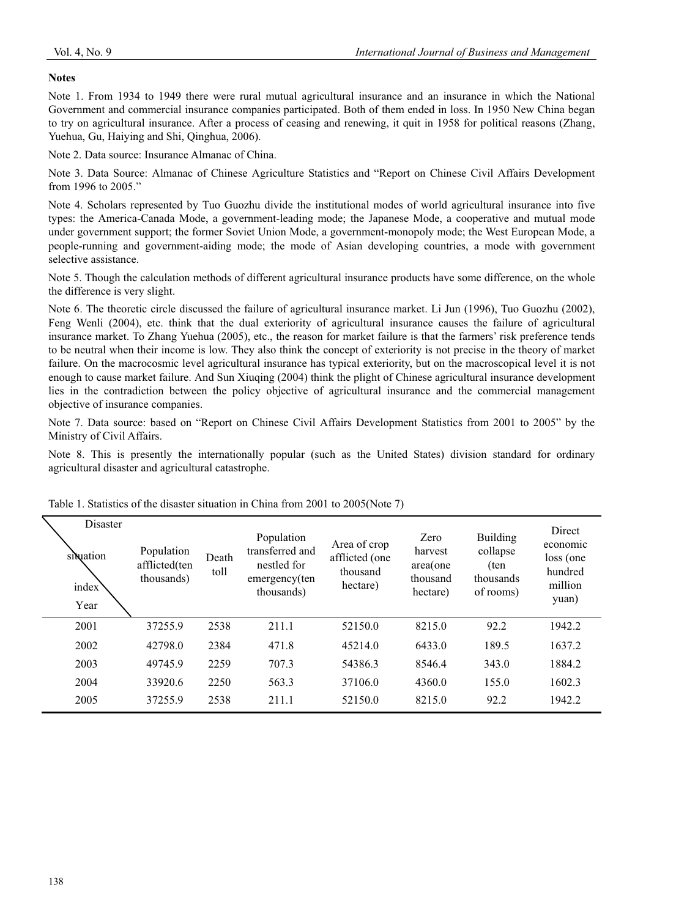## **Notes**

Note 1. From 1934 to 1949 there were rural mutual agricultural insurance and an insurance in which the National Government and commercial insurance companies participated. Both of them ended in loss. In 1950 New China began to try on agricultural insurance. After a process of ceasing and renewing, it quit in 1958 for political reasons (Zhang, Yuehua, Gu, Haiying and Shi, Qinghua, 2006).

Note 2. Data source: Insurance Almanac of China.

Note 3. Data Source: Almanac of Chinese Agriculture Statistics and "Report on Chinese Civil Affairs Development from 1996 to 2005."

Note 4. Scholars represented by Tuo Guozhu divide the institutional modes of world agricultural insurance into five types: the America-Canada Mode, a government-leading mode; the Japanese Mode, a cooperative and mutual mode under government support; the former Soviet Union Mode, a government-monopoly mode; the West European Mode, a people-running and government-aiding mode; the mode of Asian developing countries, a mode with government selective assistance.

Note 5. Though the calculation methods of different agricultural insurance products have some difference, on the whole the difference is very slight.

Note 6. The theoretic circle discussed the failure of agricultural insurance market. Li Jun (1996), Tuo Guozhu (2002), Feng Wenli (2004), etc. think that the dual exteriority of agricultural insurance causes the failure of agricultural insurance market. To Zhang Yuehua (2005), etc., the reason for market failure is that the farmers' risk preference tends to be neutral when their income is low. They also think the concept of exteriority is not precise in the theory of market failure. On the macrocosmic level agricultural insurance has typical exteriority, but on the macroscopical level it is not enough to cause market failure. And Sun Xiuqing (2004) think the plight of Chinese agricultural insurance development lies in the contradiction between the policy objective of agricultural insurance and the commercial management objective of insurance companies.

Note 7. Data source: based on "Report on Chinese Civil Affairs Development Statistics from 2001 to 2005" by the Ministry of Civil Affairs.

Note 8. This is presently the internationally popular (such as the United States) division standard for ordinary agricultural disaster and agricultural catastrophe.

| Disaster<br>silvation<br>index<br>Year | Population<br>afflicted(ten<br>thousands) | Death<br>toll | Population<br>transferred and<br>nestled for<br>emergency(ten<br>thousands) | Area of crop<br>afflicted (one<br>thousand<br>hectare) | Zero<br>harvest<br>area(one<br>thousand<br>hectare) | <b>Building</b><br>collapse<br>(ten<br>thousands<br>of rooms) | Direct<br>economic<br>loss (one<br>hundred<br>million<br>yuan) |
|----------------------------------------|-------------------------------------------|---------------|-----------------------------------------------------------------------------|--------------------------------------------------------|-----------------------------------------------------|---------------------------------------------------------------|----------------------------------------------------------------|
| 2001                                   | 37255.9                                   | 2538          | 211.1                                                                       | 52150.0                                                | 8215.0                                              | 92.2                                                          | 1942.2                                                         |
| 2002                                   | 42798.0                                   | 2384          | 471.8                                                                       | 45214.0                                                | 6433.0                                              | 189.5                                                         | 1637.2                                                         |
| 2003                                   | 49745.9                                   | 2259          | 707.3                                                                       | 54386.3                                                | 8546.4                                              | 343.0                                                         | 1884.2                                                         |
| 2004                                   | 33920.6                                   | 2250          | 563.3                                                                       | 37106.0                                                | 4360.0                                              | 155.0                                                         | 1602.3                                                         |
| 2005                                   | 37255.9                                   | 2538          | 211.1                                                                       | 52150.0                                                | 8215.0                                              | 92.2                                                          | 1942.2                                                         |

Table 1. Statistics of the disaster situation in China from 2001 to 2005(Note 7)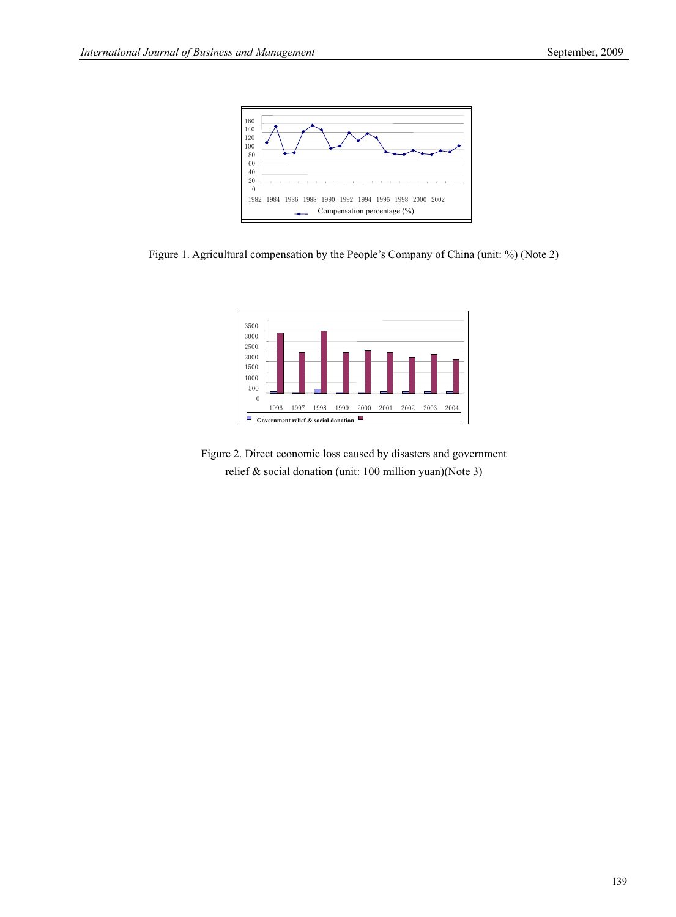

Figure 1. Agricultural compensation by the People's Company of China (unit: %) (Note 2)



Figure 2. Direct economic loss caused by disasters and government relief & social donation (unit: 100 million yuan)(Note 3)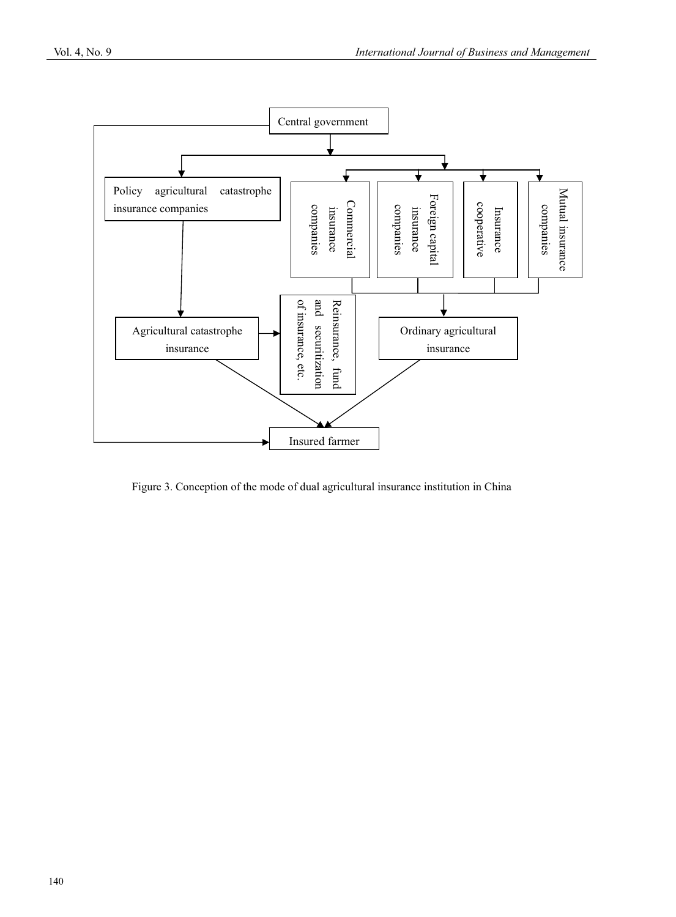

Figure 3. Conception of the mode of dual agricultural insurance institution in China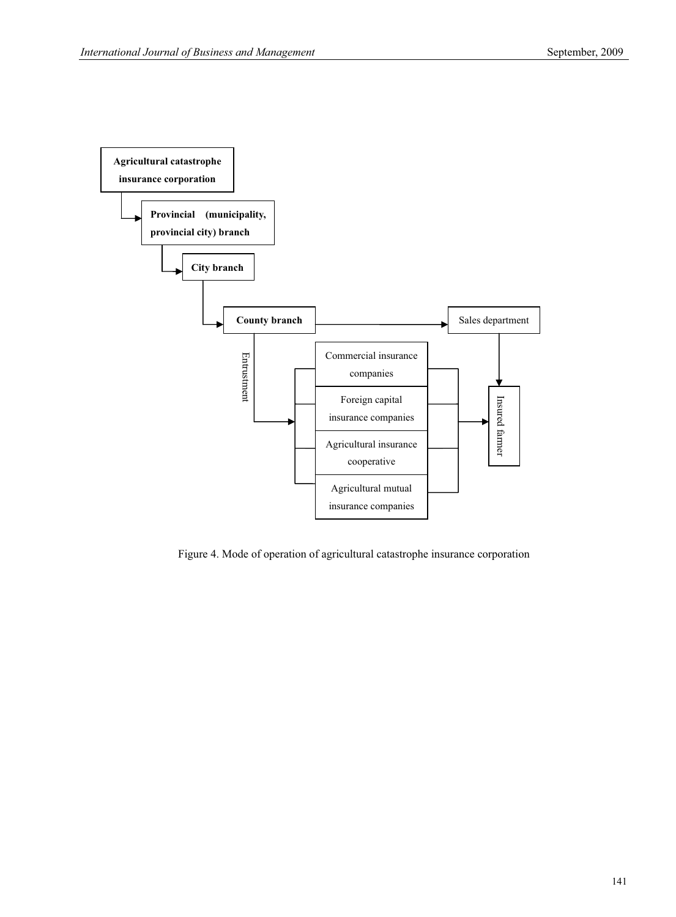

Figure 4. Mode of operation of agricultural catastrophe insurance corporation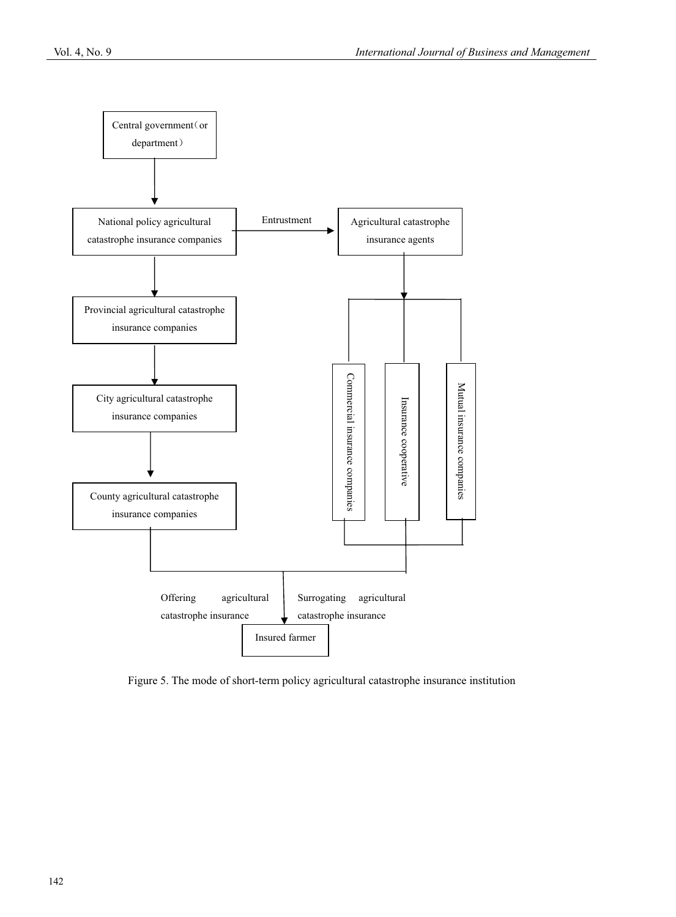

Figure 5. The mode of short-term policy agricultural catastrophe insurance institution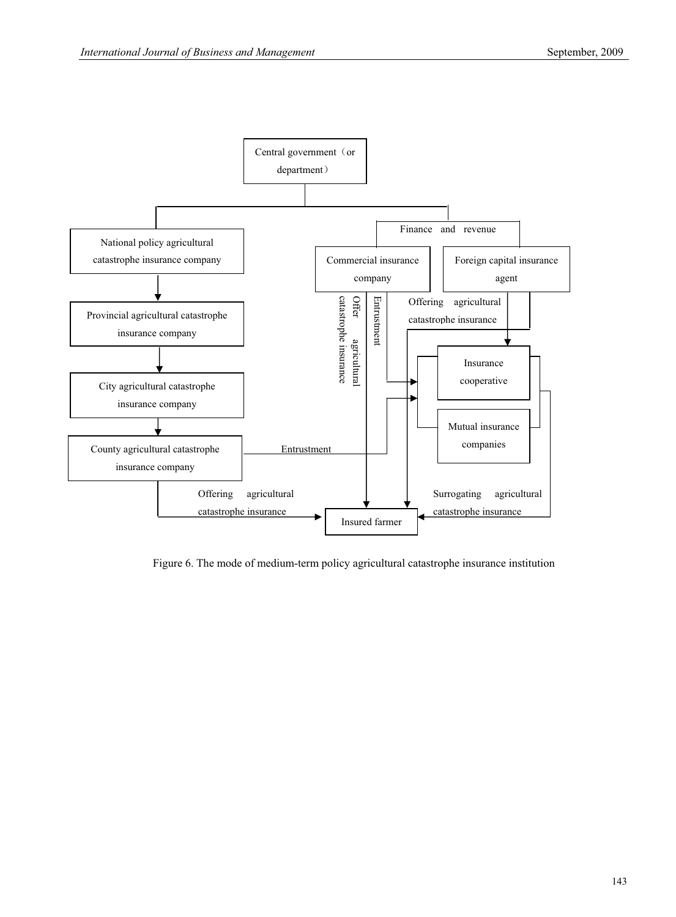

Figure 6. The mode of medium-term policy agricultural catastrophe insurance institution